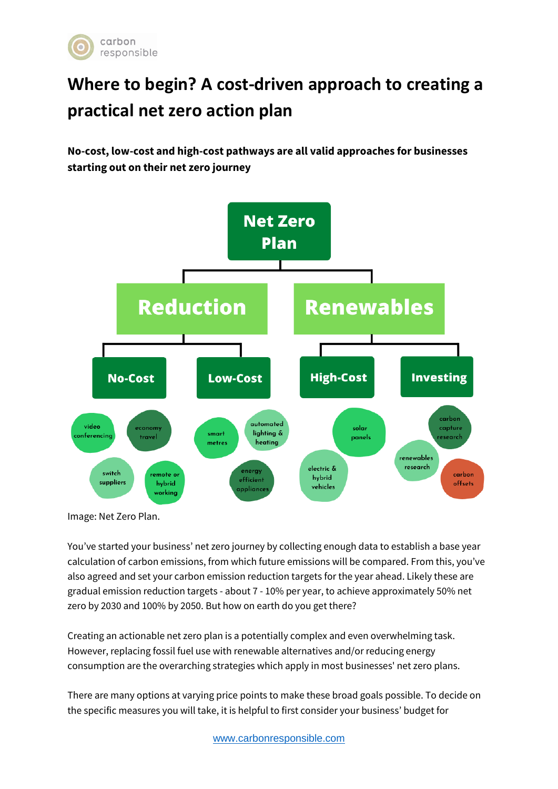

# **Where to begin? A cost-driven approach to creating a practical net zero action plan**

**No-cost, low-cost and high-cost pathways are all valid approaches for businesses starting out on their net zero journey**



Image: Net Zero Plan.

You've started your business' net zero journey by collecting enough data to establish a base year calculation of carbon emissions, from which future emissions will be compared. From this, you've also agreed and set your carbon emission reduction targets for the year ahead. Likely these are gradual emission reduction targets - about 7 - 10% per year, to achieve approximately 50% net zero by 2030 and 100% by 2050. But how on earth do you get there?

Creating an actionable net zero plan is a potentially complex and even overwhelming task. However, replacing fossil fuel use with renewable alternatives and/or reducing energy consumption are the overarching strategies which apply in most businesses' net zero plans.

There are many options at varying price points to make these broad goals possible. To decide on the specific measures you will take, it is helpful to first consider your business' budget for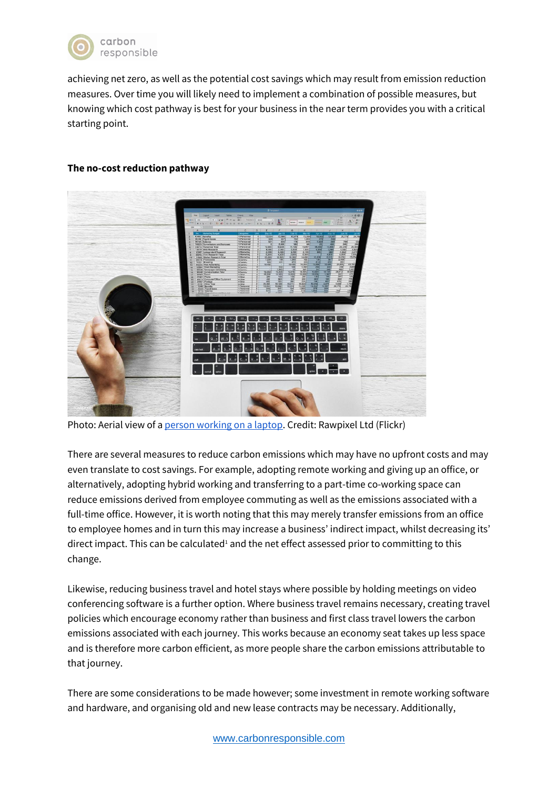

achieving net zero, as well as the potential cost savings which may result from emission reduction measures. Over time you will likely need to implement a combination of possible measures, but knowing which cost pathway is best for your business in the near term provides you with a critical starting point.

### **The no-cost reduction pathway**



Photo: Aerial view of a [person working on a laptop.](https://www.flickr.com/photos/byrawpixel/39726357860/in/photolist-23wtY9u-29yLTHn-rhLibs-xMrbe-2aKQZZw-4mk44x-aP9wkg-97ULBY-n7aXFF-eaDuTk-YuFKrP-Zt7BLG-9mUTLs-pac2A-ep9DX-9MN6Zj-vFzEj6-z7mm2-5umJZb-N6yrFe-75UWR5-dVdAXC-ytPvrf-mLN5a1-GCqNoz-6coKZS-8dgfxk-59SzAB-mLKNC3-47WBaV-5D18y9-dHpGCT-P13LZB-aQZkxv-xMrmM-J9FfR9-8pCpEo-opg1dG-59WNDC-mwNejD-WJCrDb-nMZwCV-4aiL89-9sEXfw-23rikHK-21W6RVp-8meW44-2a5LZwg-5k7wqz-fpviH) Credit: Rawpixel Ltd (Flickr)

There are several measures to reduce carbon emissions which may have no upfront costs and may even translate to cost savings. For example, adopting remote working and giving up an office, or alternatively, adopting hybrid working and transferring to a part-time co-working space can reduce emissions derived from employee commuting as well as the emissions associated with a full-time office. However, it is worth noting that this may merely transfer emissions from an office to employee homes and in turn this may increase a business' indirect impact, whilst decreasing its' direct impact. This can be calculated<sup>1</sup> and the net effect assessed prior to committing to this change.

Likewise, reducing business travel and hotel stays where possible by holding meetings on video conferencing software is a further option. Where business travel remains necessary, creating travel policies which encourage economy rather than business and first class travel lowers the carbon emissions associated with each journey. This works because an economy seat takes up less space and is therefore more carbon efficient, as more people share the carbon emissions attributable to that journey.

There are some considerations to be made however; some investment in remote working software and hardware, and organising old and new lease contracts may be necessary. Additionally,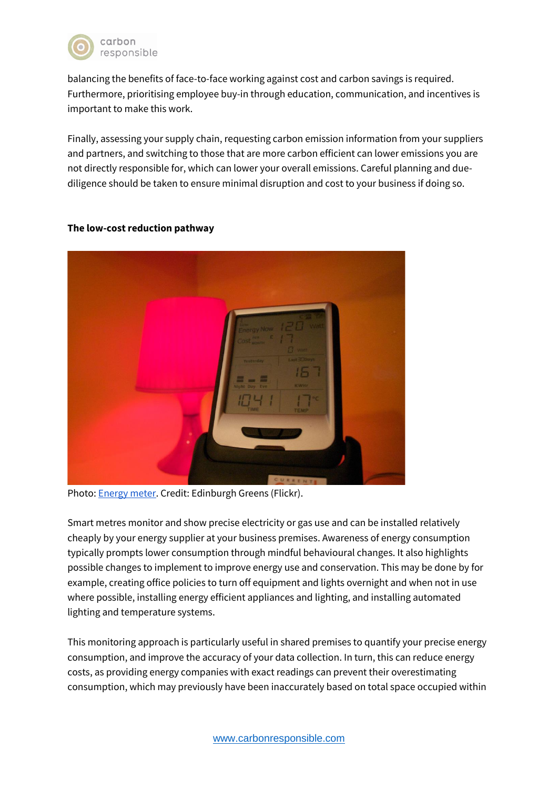

balancing the benefits of face-to-face working against cost and carbon savings is required. Furthermore, prioritising employee buy-in through education, communication, and incentives is important to make this work.

Finally, assessing your supply chain, requesting carbon emission information from your suppliers and partners, and switching to those that are more carbon efficient can lower emissions you are not directly responsible for, which can lower your overall emissions. Careful planning and duediligence should be taken to ensure minimal disruption and cost to your business if doing so.

# **The low-cost reduction pathway**

Photo: [Energy meter.](https://www.flickr.com/photos/edinburghgreens/5125852229/in/photolist-8NXkhz-8NXjyi-aav3Zz-9Xfwht-nK53bM-8ie6B4-odSndy-PtyQqv-PtyQPg-PtyQxe-PtyQBT-4LDncu-2kYXg6r-5RxPq8-fB3pMy-cUDjuL-2gBXNLs-iYNJ3j-pLJmYM-er1F4L-BeWfEV-7tLcHi-2cCTqDU-aYB1iP-2ifh11m-FQnZ6D-7z3hLz-6KhTQ1-4pVLLw-4pVNoY-7z3hKM-7tQ9Uh-7tQ9y3-7tLd5i-Gipek6-4pVs4X-7z74Ws-8hKXyo-2nbYH5Z-eq5qHk-2jYYSLk-2hYELzE-2h5cfeF-2a1v8RZ-nGGgW8-28TJrxC-qHHLFw-2jAFKve-owiWrE-8o6YNr) Credit: Edinburgh Greens (Flickr).

Smart metres monitor and show precise electricity or gas use and can be installed relatively cheaply by your energy supplier at your business premises. Awareness of energy consumption typically prompts lower consumption through mindful behavioural changes. It also highlights possible changes to implement to improve energy use and conservation. This may be done by for example, creating office policies to turn off equipment and lights overnight and when not in use where possible, installing energy efficient appliances and lighting, and installing automated lighting and temperature systems.

This monitoring approach is particularly useful in shared premises to quantify your precise energy consumption, and improve the accuracy of your data collection. In turn, this can reduce energy costs, as providing energy companies with exact readings can prevent their overestimating consumption, which may previously have been inaccurately based on total space occupied within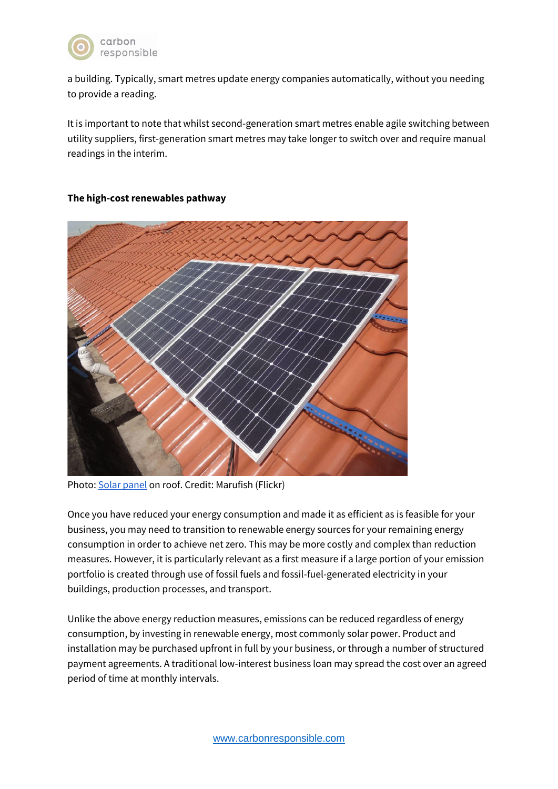

a building. Typically, smart metres update energy companies automatically, without you needing to provide a reading.

It is important to note that whilst second-generation smart metres enable agile switching between utility suppliers, first-generation smart metres may take longer to switch over and require manual readings in the interim.

#### **The high-cost renewables pathway**



Photo: [Solar panel](https://www.flickr.com/photos/marufish/8341367442/in/photolist-dH6FW3-dH6MK7-bucy3p-dH1hir-bwKj4B-q5RbKn-dH1bDP-dH1p6T-dH1epZ-dH6D7Q-6zEAVV-dH1ju4-5cB2jG-dH6P1S-Bm6JjQ-5T4UDb-5T4UNG-5T4UZm-6zvyH8-6rxeoo-8Gtj7M-dH13v2-dH6AMN-aucLc7-9LkEjb-eEuEro-dH12bZ-7Bbg4w-9hbQEH-bwKjZD-bkyvUw-bucykV-dpq6p4-bv59UF-ds6Nf2-d2uAah-4Tpnt4-8JhNks-9RSaxv-4X4bcR-aZzXVz-4X4a8T-dt7jgT-6Bvp82-dpqscn-9prCKi-6uA9HL-q5J7Hh-9WmYBm-7VvpTg) on roof. Credit: Marufish (Flickr)

Once you have reduced your energy consumption and made it as efficient as is feasible for your business, you may need to transition to renewable energy sources for your remaining energy consumption in order to achieve net zero. This may be more costly and complex than reduction measures. However, it is particularly relevant as a first measure if a large portion of your emission portfolio is created through use of fossil fuels and fossil-fuel-generated electricity in your buildings, production processes, and transport.

Unlike the above energy reduction measures, emissions can be reduced regardless of energy consumption, by investing in renewable energy, most commonly solar power. Product and installation may be purchased upfront in full by your business, or through a number of structured payment agreements. A traditional low-interest business loan may spread the cost over an agreed period of time at monthly intervals.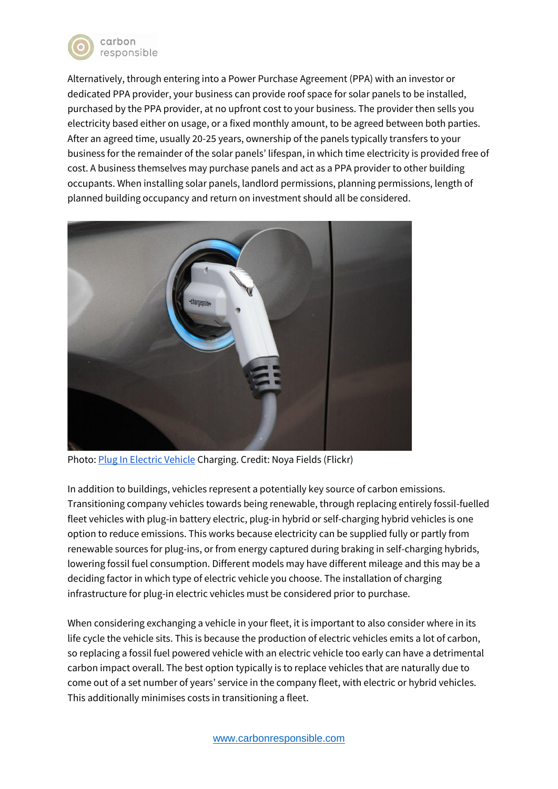

Alternatively, through entering into a Power Purchase Agreement (PPA) with an investor or dedicated PPA provider, your business can provide roof space for solar panels to be installed, purchased by the PPA provider, at no upfront cost to your business. The provider then sells you electricity based either on usage, or a fixed monthly amount, to be agreed between both parties. After an agreed time, usually 20-25 years, ownership of the panels typically transfers to your business for the remainder of the solar panels' lifespan, in which time electricity is provided free of cost. A business themselves may purchase panels and act as a PPA provider to other building occupants. When installing solar panels, landlord permissions, planning permissions, length of planned building occupancy and return on investment should all be considered.



Photo: [Plug In Electric Vehicle](https://www.flickr.com/photos/noyafieldsorg/34851733984/in/photolist-V6Jfif-n1pXjt-bxtwDU-241J98b-bxtctS-241J9iS-9sGWvH-6jozPM-247JNSn-2eDAiAq-fR2xUC-bLo8xZ-bxt8Qy-fR2CAY-bLnKxZ-bxtnNQ-fQQJCZ-7Sjbmc-fR2AK3-iiiSch-WjzxZm-bxtgGJ-bLo5x2-26CVRgF-2gKtSDS-uCFkmT-bLnQJp-bxt3eY-bxt9VQ-aqnA3Y-9vQVT9-odE7Cv-bBsfS7-bxtyws-bxteHC-ut7Mto-uCFkm2-bLnXvg-bLo6CH-bxtoRw-hTzbgf-hTyWEh-hTyuvV-bxt13u-bLof2D-bLnHRt-udSXXU-hTySNQ-NPLkKo-bLo7gK) Charging. Credit: Noya Fields (Flickr)

In addition to buildings, vehicles represent a potentially key source of carbon emissions. Transitioning company vehicles towards being renewable, through replacing entirely fossil-fuelled fleet vehicles with plug-in battery electric, plug-in hybrid or self-charging hybrid vehicles is one option to reduce emissions. This works because electricity can be supplied fully or partly from renewable sources for plug-ins, or from energy captured during braking in self-charging hybrids, lowering fossil fuel consumption. Different models may have different mileage and this may be a deciding factor in which type of electric vehicle you choose. The installation of charging infrastructure for plug-in electric vehicles must be considered prior to purchase.

When considering exchanging a vehicle in your fleet, it is important to also consider where in its life cycle the vehicle sits. This is because the production of electric vehicles emits a lot of carbon, so replacing a fossil fuel powered vehicle with an electric vehicle too early can have a detrimental carbon impact overall. The best option typically is to replace vehicles that are naturally due to come out of a set number of years' service in the company fleet, with electric or hybrid vehicles. This additionally minimises costs in transitioning a fleet.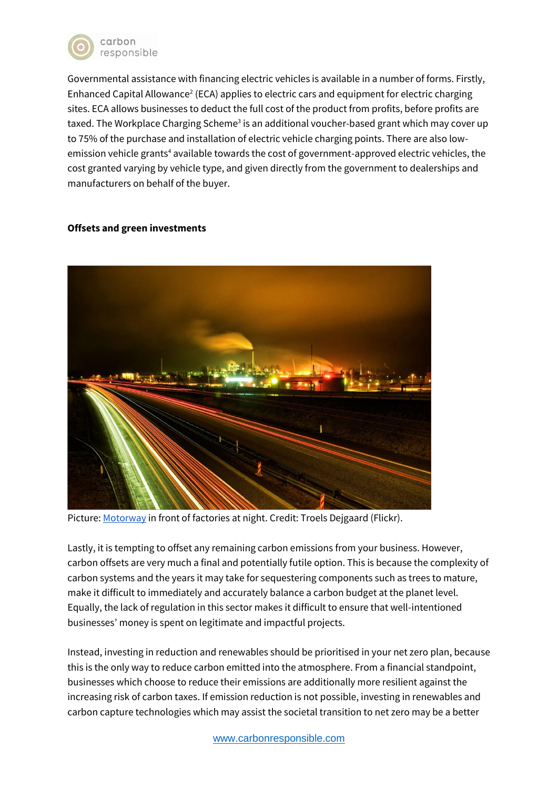

Governmental assistance with financing electric vehicles is available in a number of forms. Firstly, Enhanced Capital Allowance<sup>2</sup> (ECA) applies to electric cars and equipment for electric charging sites. ECA allows businesses to deduct the full cost of the product from profits, before profits are taxed. The Workplace Charging Scheme<sup>3</sup> is an additional voucher-based grant which may cover up to 75% of the purchase and installation of electric vehicle charging points. There are also lowemission vehicle grants<sup>4</sup> available towards the cost of government-approved electric vehicles, the cost granted varying by vehicle type, and given directly from the government to dealerships and manufacturers on behalf of the buyer.

# **Offsets and green investments**



Picture: [Motorway](https://www.flickr.com/photos/dh87/4426741393/in/photolist-7KbcZt-4dsZQf-9ZSo8k-7Au8Q2-2kmSWrr-CfKWDE-4B1tBQ-4doZop-813PHh-tHaaaC-dnN7FS-co2iJh-5SQvJe-2YDpTA-26Lxrqu-5qAMSS-6biiAd-6biiq9-et5Njm-bsX8Ft-9edxx2-z5yiTi-6MFeRk-c178zo-2mEsAUD-2gZ9gzM-2kFNGb2-Hyydjm-p3jZPs-5NXgdK-yFzBEq-5rkgT-cYqQZ1-5o5a6g-22KwQGp-cswP8-2iPfTs6-2k7vV84-2mR2jtr-6LGZUv-sA2ao-7JAsde-UU37hd-sA2bm-7oiRFg-5yLjhP-8iP5KP-9yThPo-2j3ayqe-dLbYwv) in front of factories at night. Credit: Troels Dejgaard (Flickr).

Lastly, it is tempting to offset any remaining carbon emissions from your business. However, carbon offsets are very much a final and potentially futile option. This is because the complexity of carbon systems and the years it may take for sequestering components such as trees to mature, make it difficult to immediately and accurately balance a carbon budget at the planet level. Equally, the lack of regulation in this sector makes it difficult to ensure that well-intentioned businesses' money is spent on legitimate and impactful projects.

Instead, investing in reduction and renewables should be prioritised in your net zero plan, because this is the only way to reduce carbon emitted into the atmosphere. From a financial standpoint, businesses which choose to reduce their emissions are additionally more resilient against the increasing risk of carbon taxes. If emission reduction is not possible, investing in renewables and carbon capture technologies which may assist the societal transition to net zero may be a better